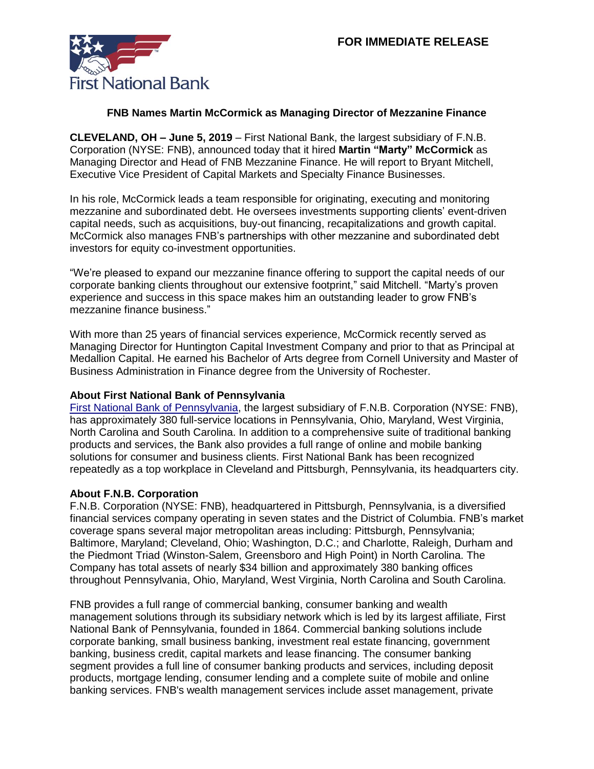

## **FNB Names Martin McCormick as Managing Director of Mezzanine Finance**

**CLEVELAND, OH – June 5, 2019** – First National Bank, the largest subsidiary of F.N.B. Corporation (NYSE: FNB), announced today that it hired **Martin "Marty" McCormick** as Managing Director and Head of FNB Mezzanine Finance. He will report to Bryant Mitchell, Executive Vice President of Capital Markets and Specialty Finance Businesses.

In his role, McCormick leads a team responsible for originating, executing and monitoring mezzanine and subordinated debt. He oversees investments supporting clients' event-driven capital needs, such as acquisitions, buy-out financing, recapitalizations and growth capital. McCormick also manages FNB's partnerships with other mezzanine and subordinated debt investors for equity co-investment opportunities.

"We're pleased to expand our mezzanine finance offering to support the capital needs of our corporate banking clients throughout our extensive footprint," said Mitchell. "Marty's proven experience and success in this space makes him an outstanding leader to grow FNB's mezzanine finance business."

With more than 25 years of financial services experience, McCormick recently served as Managing Director for Huntington Capital Investment Company and prior to that as Principal at Medallion Capital. He earned his Bachelor of Arts degree from Cornell University and Master of Business Administration in Finance degree from the University of Rochester.

## **About First National Bank of Pennsylvania**

[First National Bank of Pennsylvania,](https://www.fnb-online.com/) the largest subsidiary of F.N.B. Corporation (NYSE: FNB), has approximately 380 full-service locations in Pennsylvania, Ohio, Maryland, West Virginia, North Carolina and South Carolina. In addition to a comprehensive suite of traditional banking products and services, the Bank also provides a full range of online and mobile banking solutions for consumer and business clients. First National Bank has been recognized repeatedly as a top workplace in Cleveland and Pittsburgh, Pennsylvania, its headquarters city.

## **About F.N.B. Corporation**

F.N.B. Corporation (NYSE: FNB), headquartered in Pittsburgh, Pennsylvania, is a diversified financial services company operating in seven states and the District of Columbia. FNB's market coverage spans several major metropolitan areas including: Pittsburgh, Pennsylvania; Baltimore, Maryland; Cleveland, Ohio; Washington, D.C.; and Charlotte, Raleigh, Durham and the Piedmont Triad (Winston-Salem, Greensboro and High Point) in North Carolina. The Company has total assets of nearly \$34 billion and approximately 380 banking offices throughout Pennsylvania, Ohio, Maryland, West Virginia, North Carolina and South Carolina.

FNB provides a full range of commercial banking, consumer banking and wealth management solutions through its subsidiary network which is led by its largest affiliate, First National Bank of Pennsylvania, founded in 1864. Commercial banking solutions include corporate banking, small business banking, investment real estate financing, government banking, business credit, capital markets and lease financing. The consumer banking segment provides a full line of consumer banking products and services, including deposit products, mortgage lending, consumer lending and a complete suite of mobile and online banking services. FNB's wealth management services include asset management, private